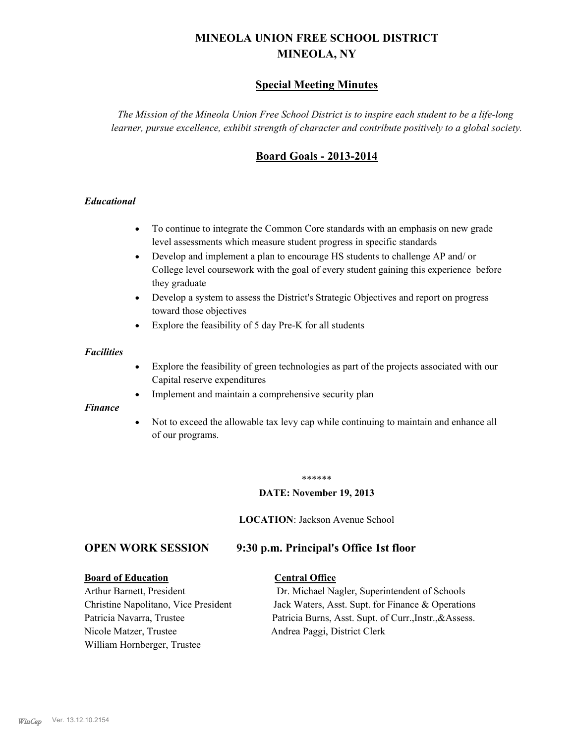# **MINEOLA UNION FREE SCHOOL DISTRICT MINEOLA, NY**

# **Special Meeting Minutes**

*The Mission of the Mineola Union Free School District is to inspire each student to be a life-long learner, pursue excellence, exhibit strength of character and contribute positively to a global society.*

# **Board Goals - 2013-2014**

## *Educational*

- · To continue to integrate the Common Core standards with an emphasis on new grade level assessments which measure student progress in specific standards
- · Develop and implement a plan to encourage HS students to challenge AP and/ or College level coursework with the goal of every student gaining this experience before they graduate
- Develop a system to assess the District's Strategic Objectives and report on progress toward those objectives
- · Explore the feasibility of 5 day Pre-K for all students

### *Facilities*

- · Explore the feasibility of green technologies as part of the projects associated with our Capital reserve expenditures
- Implement and maintain a comprehensive security plan

### *Finance*

• Not to exceed the allowable tax levy cap while continuing to maintain and enhance all of our programs.

### \*\*\*\*\*\*

### **DATE: November 19, 2013**

**LOCATION**: Jackson Avenue School

# **OPEN WORK SESSION 9:30 p.m. Principal's Office 1st floor**

### **Board of Education Central Office**

Nicole Matzer, Trustee Andrea Paggi, District Clerk William Hornberger, Trustee

Arthur Barnett, President Dr. Michael Nagler, Superintendent of Schools Christine Napolitano, Vice President Jack Waters, Asst. Supt. for Finance & Operations Patricia Navarra, Trustee Patricia Burns, Asst. Supt. of Curr., Instr., &Assess.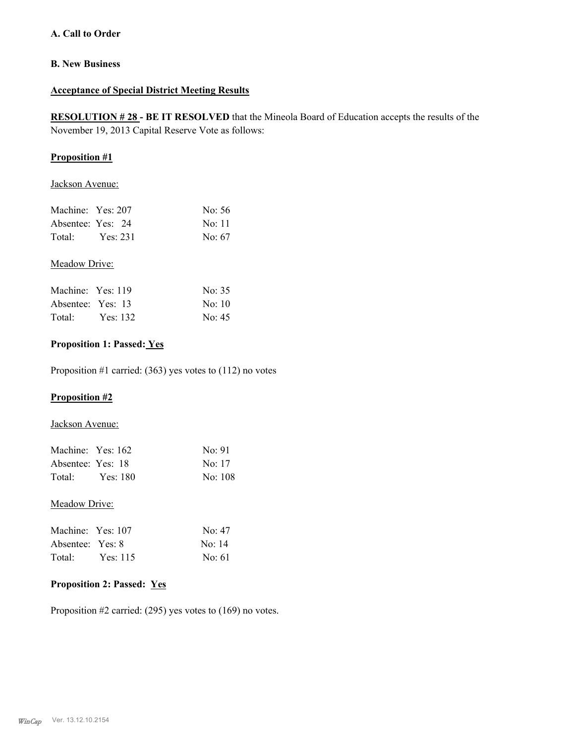## **A. Call to Order**

## **B. New Business**

### **Acceptance of Special District Meeting Results**

**RESOLUTION # 28 - BE IT RESOLVED** that the Mineola Board of Education accepts the results of the November 19, 2013 Capital Reserve Vote as follows:

## **Proposition #1**

Jackson Avenue:

| Machine: Yes: 207 |          | No: 56 |
|-------------------|----------|--------|
| Absentee: Yes: 24 |          | No: 11 |
| Total:            | Yes: 231 | No: 67 |

## Meadow Drive:

| Machine: Yes: 119 |          | No: 35             |
|-------------------|----------|--------------------|
| Absentee: Yes: 13 |          | No <sup>-</sup> 10 |
| Total:            | Yes: 132 | No: 45             |

## **Proposition 1: Passed: Yes**

Proposition #1 carried: (363) yes votes to (112) no votes

## **Proposition #2**

### Jackson Avenue:

| Machine: Yes: 162<br>Absentee: Yes: 18<br>Total: Yes: 180 | No: 91<br>No: 17<br>No: 108 |
|-----------------------------------------------------------|-----------------------------|
| Meadow Drive:                                             |                             |
| Machine: Yes: 107                                         | $\text{No}$ : 47            |
| Absentee: Yes: 8                                          | No: 14                      |
| Total: Yes: 115                                           | $\text{No}$ 61              |

# **Proposition 2: Passed: Yes**

Proposition #2 carried: (295) yes votes to (169) no votes.